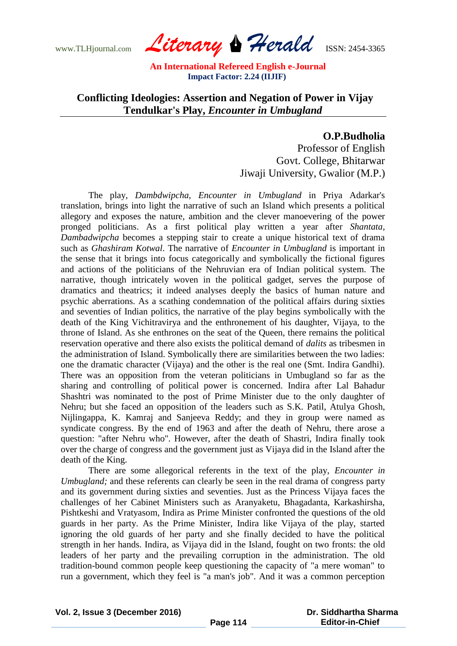www.TLHjournal.com *Literary Herald*ISSN: 2454-3365

## **Conflicting Ideologies: Assertion and Negation of Power in Vijay Tendulkar's Play,** *Encounter in Umbugland*

**O.P.Budholia** Professor of English Govt. College, Bhitarwar

Jiwaji University, Gwalior (M.P.)

The play, *Dambdwipcha, Encounter in Umbugland* in Priya Adarkar's translation, brings into light the narrative of such an Island which presents a political allegory and exposes the nature, ambition and the clever manoevering of the power pronged politicians. As a first political play written a year after *Shantata, Dambadwipcha* becomes a stepping stair to create a unique historical text of drama such as *Ghashiram Kotwal*. The narrative of *Encounter in Umbugland* is important in the sense that it brings into focus categorically and symbolically the fictional figures and actions of the politicians of the Nehruvian era of Indian political system. The narrative, though intricately woven in the political gadget, serves the purpose of dramatics and theatrics; it indeed analyses deeply the basics of human nature and psychic aberrations. As a scathing condemnation of the political affairs during sixties and seventies of Indian politics, the narrative of the play begins symbolically with the death of the King Vichitravirya and the enthronement of his daughter, Vijaya, to the throne of Island. As she enthrones on the seat of the Queen, there remains the political reservation operative and there also exists the political demand of *dalits* as tribesmen in the administration of Island. Symbolically there are similarities between the two ladies: one the dramatic character (Vijaya) and the other is the real one (Smt. Indira Gandhi). There was an opposition from the veteran politicians in Umbugland so far as the sharing and controlling of political power is concerned. Indira after Lal Bahadur Shashtri was nominated to the post of Prime Minister due to the only daughter of Nehru; but she faced an opposition of the leaders such as S.K. Patil, Atulya Ghosh, Nijlingappa, K. Kamraj and Sanjeeva Reddy; and they in group were named as syndicate congress. By the end of 1963 and after the death of Nehru, there arose a question: "after Nehru who". However, after the death of Shastri, Indira finally took over the charge of congress and the government just as Vijaya did in the Island after the death of the King.

There are some allegorical referents in the text of the play, *Encounter in Umbugland*; and these referents can clearly be seen in the real drama of congress party and its government during sixties and seventies. Just as the Princess Vijaya faces the challenges of her Cabinet Ministers such as Aranyaketu, Bhagadanta, Karkashirsha, Pishtkeshi and Vratyasom, Indira as Prime Minister confronted the questions of the old guards in her party. As the Prime Minister, Indira like Vijaya of the play, started ignoring the old guards of her party and she finally decided to have the political strength in her hands. Indira, as Vijaya did in the Island, fought on two fronts: the old leaders of her party and the prevailing corruption in the administration. The old tradition-bound common people keep questioning the capacity of "a mere woman" to run a government, which they feel is "a man's job". And it was a common perception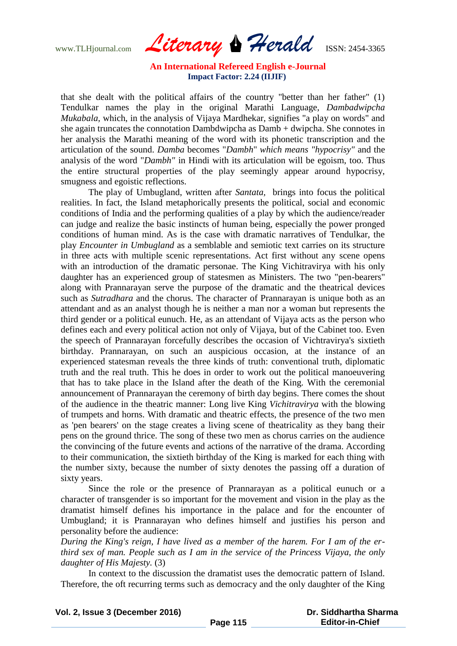www.TLHjournal.com *Literary Herald*ISSN: 2454-3365

that she dealt with the political affairs of the country "better than her father" (1) Tendulkar names the play in the original Marathi Language, *Dambadwipcha Mukabala,* which, in the analysis of Vijaya Mardhekar, signifies "a play on words" and she again truncates the connotation Dambdwipcha as Damb + dwipcha. She connotes in her analysis the Marathi meaning of the word with its phonetic transcription and the articulation of the sound. *Damba* becomes "*Dambh*" *which means "hypocrisy"* and the analysis of the word "*Dambh"* in Hindi with its articulation will be egoism, too. Thus the entire structural properties of the play seemingly appear around hypocrisy, smugness and egoistic reflections.

The play of Umbugland, written after *Santata,* brings into focus the political realities. In fact, the Island metaphorically presents the political, social and economic conditions of India and the performing qualities of a play by which the audience/reader can judge and realize the basic instincts of human being, especially the power pronged conditions of human mind. As is the case with dramatic narratives of Tendulkar, the play *Encounter in Umbugland* as a semblable and semiotic text carries on its structure in three acts with multiple scenic representations. Act first without any scene opens with an introduction of the dramatic personae. The King Vichitravirya with his only daughter has an experienced group of statesmen as Ministers. The two "pen-bearers" along with Prannarayan serve the purpose of the dramatic and the theatrical devices such as *Sutradhara* and the chorus. The character of Prannarayan is unique both as an attendant and as an analyst though he is neither a man nor a woman but represents the third gender or a political eunuch. He, as an attendant of Vijaya acts as the person who defines each and every political action not only of Vijaya, but of the Cabinet too. Even the speech of Prannarayan forcefully describes the occasion of Vichtravirya's sixtieth birthday. Prannarayan, on such an auspicious occasion, at the instance of an experienced statesman reveals the three kinds of truth: conventional truth, diplomatic truth and the real truth. This he does in order to work out the political manoeuvering that has to take place in the Island after the death of the King. With the ceremonial announcement of Prannarayan the ceremony of birth day begins. There comes the shout of the audience in the theatric manner: Long live King *Vichitravirya* with the blowing of trumpets and horns. With dramatic and theatric effects, the presence of the two men as 'pen bearers' on the stage creates a living scene of theatricality as they bang their pens on the ground thrice. The song of these two men as chorus carries on the audience the convincing of the future events and actions of the narrative of the drama. According to their communication, the sixtieth birthday of the King is marked for each thing with the number sixty, because the number of sixty denotes the passing off a duration of sixty years.

Since the role or the presence of Prannarayan as a political eunuch or a character of transgender is so important for the movement and vision in the play as the dramatist himself defines his importance in the palace and for the encounter of Umbugland; it is Prannarayan who defines himself and justifies his person and personality before the audience:

*During the King's reign, I have lived as a member of the harem. For I am of the erthird sex of man. People such as I am in the service of the Princess Vijaya, the only daughter of His Majesty.* (3)

In context to the discussion the dramatist uses the democratic pattern of Island. Therefore, the oft recurring terms such as democracy and the only daughter of the King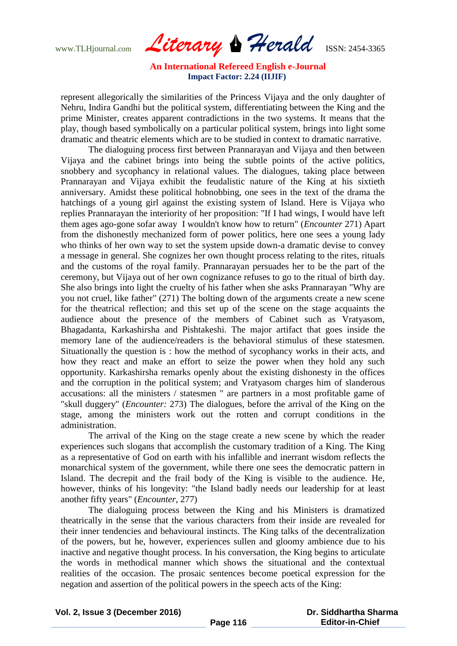www.TLHjournal.com *Literary Herald*ISSN: 2454-3365

represent allegorically the similarities of the Princess Vijaya and the only daughter of Nehru, Indira Gandhi but the political system, differentiating between the King and the prime Minister, creates apparent contradictions in the two systems. It means that the play, though based symbolically on a particular political system, brings into light some dramatic and theatric elements which are to be studied in context to dramatic narrative.

The dialoguing process first between Prannarayan and Vijaya and then between Vijaya and the cabinet brings into being the subtle points of the active politics, snobbery and sycophancy in relational values. The dialogues, taking place between Prannarayan and Vijaya exhibit the feudalistic nature of the King at his sixtieth anniversary. Amidst these political hobnobbing, one sees in the text of the drama the hatchings of a young girl against the existing system of Island. Here is Vijaya who replies Prannarayan the interiority of her proposition: "If I had wings, I would have left them ages ago-gone sofar away I wouldn't know how to return" (*Encounter* 271) Apart from the dishonestly mechanized form of power politics, here one sees a young lady who thinks of her own way to set the system upside down-a dramatic devise to convey a message in general. She cognizes her own thought process relating to the rites, rituals and the customs of the royal family. Prannarayan persuades her to be the part of the ceremony, but Vijaya out of her own cognizance refuses to go to the ritual of birth day. She also brings into light the cruelty of his father when she asks Prannarayan "Why are you not cruel, like father" (271) The bolting down of the arguments create a new scene for the theatrical reflection; and this set up of the scene on the stage acquaints the audience about the presence of the members of Cabinet such as Vratyasom, Bhagadanta, Karkashirsha and Pishtakeshi. The major artifact that goes inside the memory lane of the audience/readers is the behavioral stimulus of these statesmen. Situationally the question is : how the method of sycophancy works in their acts, and how they react and make an effort to seize the power when they hold any such opportunity. Karkashirsha remarks openly about the existing dishonesty in the offices and the corruption in the political system; and Vratyasom charges him of slanderous accusations: all the ministers / statesmen " are partners in a most profitable game of "skull duggery" (*Encounter:* 273) The dialogues, before the arrival of the King on the stage, among the ministers work out the rotten and corrupt conditions in the administration.

The arrival of the King on the stage create a new scene by which the reader experiences such slogans that accomplish the customary tradition of a King. The King as a representative of God on earth with his infallible and inerrant wisdom reflects the monarchical system of the government, while there one sees the democratic pattern in Island. The decrepit and the frail body of the King is visible to the audience. He, however, thinks of his longevity: "the Island badly needs our leadership for at least another fifty years" (*Encounter*, 277)

The dialoguing process between the King and his Ministers is dramatized theatrically in the sense that the various characters from their inside are revealed for their inner tendencies and behavioural instincts. The King talks of the decentralization of the powers, but he, however, experiences sullen and gloomy ambience due to his inactive and negative thought process. In his conversation, the King begins to articulate the words in methodical manner which shows the situational and the contextual realities of the occasion. The prosaic sentences become poetical expression for the negation and assertion of the political powers in the speech acts of the King: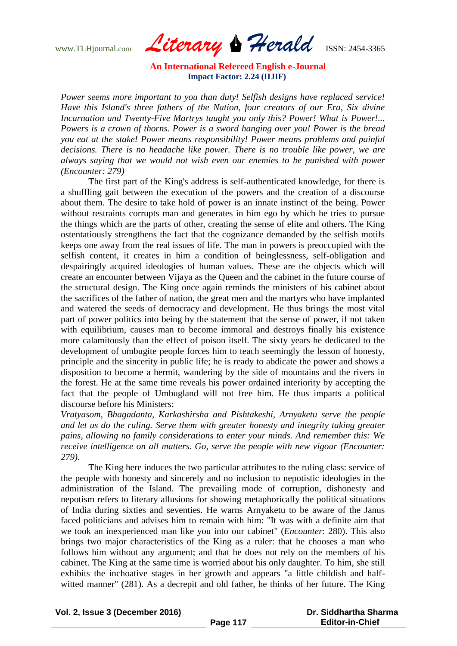www.TLHjournal.com *Literary Herald*ISSN: 2454-3365

*Power seems more important to you than duty! Selfish designs have replaced service! Have this Island's three fathers of the Nation, four creators of our Era, Six divine Incarnation and Twenty-Five Martrys taught you only this? Power! What is Power!... Powers is a crown of thorns. Power is a sword hanging over you! Power is the bread you eat at the stake! Power means responsibility! Power means problems and painful decisions. There is no headache like power. There is no trouble like power, we are always saying that we would not wish even our enemies to be punished with power (Encounter: 279)*

The first part of the King's address is self-authenticated knowledge, for there is a shuffling gait between the execution of the powers and the creation of a discourse about them. The desire to take hold of power is an innate instinct of the being. Power without restraints corrupts man and generates in him ego by which he tries to pursue the things which are the parts of other, creating the sense of elite and others. The King ostentatiously strengthens the fact that the cognizance demanded by the selfish motifs keeps one away from the real issues of life. The man in powers is preoccupied with the selfish content, it creates in him a condition of beinglessness, self-obligation and despairingly acquired ideologies of human values. These are the objects which will create an encounter between Vijaya as the Queen and the cabinet in the future course of the structural design. The King once again reminds the ministers of his cabinet about the sacrifices of the father of nation, the great men and the martyrs who have implanted and watered the seeds of democracy and development. He thus brings the most vital part of power politics into being by the statement that the sense of power, if not taken with equilibrium, causes man to become immoral and destroys finally his existence more calamitously than the effect of poison itself. The sixty years he dedicated to the development of umbugite people forces him to teach seemingly the lesson of honesty, principle and the sincerity in public life; he is ready to abdicate the power and shows a disposition to become a hermit, wandering by the side of mountains and the rivers in the forest. He at the same time reveals his power ordained interiority by accepting the fact that the people of Umbugland will not free him. He thus imparts a political discourse before his Ministers:

*Vratyasom, Bhagadanta, Karkashirsha and Pishtakeshi, Arnyaketu serve the people and let us do the ruling. Serve them with greater honesty and integrity taking greater pains, allowing no family considerations to enter your minds. And remember this: We receive intelligence on all matters. Go, serve the people with new vigour (Encounter: 279).*

The King here induces the two particular attributes to the ruling class: service of the people with honesty and sincerely and no inclusion to nepotistic ideologies in the administration of the Island. The prevailing mode of corruption, dishonesty and nepotism refers to literary allusions for showing metaphorically the political situations of India during sixties and seventies. He warns Arnyaketu to be aware of the Janus faced politicians and advises him to remain with him: "It was with a definite aim that we took an inexperienced man like you into our cabinet" (*Encounter*: 280). This also brings two major characteristics of the King as a ruler: that he chooses a man who follows him without any argument; and that he does not rely on the members of his cabinet. The King at the same time is worried about his only daughter. To him, she still exhibits the inchoative stages in her growth and appears "a little childish and halfwitted manner" (281). As a decrepit and old father, he thinks of her future. The King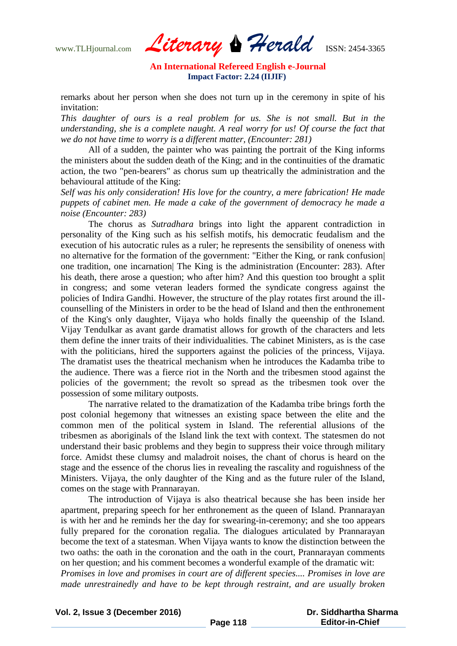www.TLHjournal.com *Literary Herald*ISSN: 2454-3365

remarks about her person when she does not turn up in the ceremony in spite of his invitation:

*This daughter of ours is a real problem for us. She is not small. But in the understanding, she is a complete naught. A real worry for us! Of course the fact that we do not have time to worry is a different matter, (Encounter: 281)*

All of a sudden, the painter who was painting the portrait of the King informs the ministers about the sudden death of the King; and in the continuities of the dramatic action, the two "pen-bearers" as chorus sum up theatrically the administration and the behavioural attitude of the King:

*Self was his only consideration! His love for the country, a mere fabrication! He made puppets of cabinet men. He made a cake of the government of democracy he made a noise (Encounter: 283)*

The chorus as *Sutradhara* brings into light the apparent contradiction in personality of the King such as his selfish motifs, his democratic feudalism and the execution of his autocratic rules as a ruler; he represents the sensibility of oneness with no alternative for the formation of the government: "Either the King, or rank confusion| one tradition, one incarnation| The King is the administration (Encounter: 283). After his death, there arose a question; who after him? And this question too brought a split in congress; and some veteran leaders formed the syndicate congress against the policies of Indira Gandhi. However, the structure of the play rotates first around the illcounselling of the Ministers in order to be the head of Island and then the enthronement of the King's only daughter, Vijaya who holds finally the queenship of the Island. Vijay Tendulkar as avant garde dramatist allows for growth of the characters and lets them define the inner traits of their individualities. The cabinet Ministers, as is the case with the politicians, hired the supporters against the policies of the princess, Vijaya. The dramatist uses the theatrical mechanism when he introduces the Kadamba tribe to the audience. There was a fierce riot in the North and the tribesmen stood against the policies of the government; the revolt so spread as the tribesmen took over the possession of some military outposts.

The narrative related to the dramatization of the Kadamba tribe brings forth the post colonial hegemony that witnesses an existing space between the elite and the common men of the political system in Island. The referential allusions of the tribesmen as aboriginals of the Island link the text with context. The statesmen do not understand their basic problems and they begin to suppress their voice through military force. Amidst these clumsy and maladroit noises, the chant of chorus is heard on the stage and the essence of the chorus lies in revealing the rascality and roguishness of the Ministers. Vijaya, the only daughter of the King and as the future ruler of the Island, comes on the stage with Prannarayan.

The introduction of Vijaya is also theatrical because she has been inside her apartment, preparing speech for her enthronement as the queen of Island. Prannarayan is with her and he reminds her the day for swearing-in-ceremony; and she too appears fully prepared for the coronation regalia. The dialogues articulated by Prannarayan become the text of a statesman. When Vijaya wants to know the distinction between the two oaths: the oath in the coronation and the oath in the court, Prannarayan comments on her question; and his comment becomes a wonderful example of the dramatic wit: *Promises in love and promises in court are of different species.... Promises in love are made unrestrainedly and have to be kept through restraint, and are usually broken*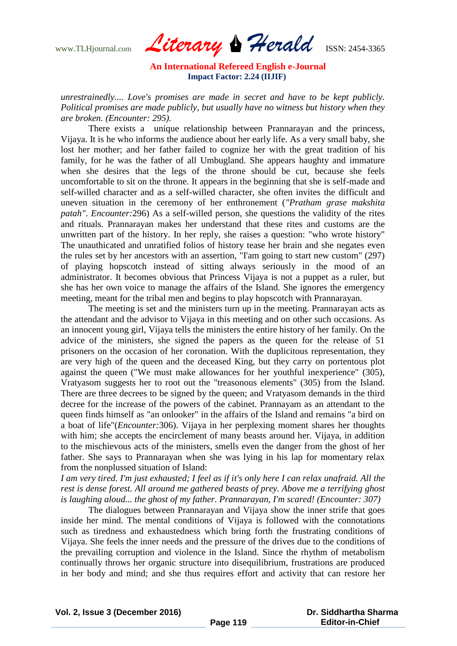www.TLHjournal.com *Literary Herald*ISSN: 2454-3365

*unrestrainedly.... Love's promises are made in secret and have to be kept publicly. Political promises are made publicly, but usually have no witness but history when they are broken. (Encounter: 295).*

There exists a unique relationship between Prannarayan and the princess, Vijaya. It is he who informs the audience about her early life. As a very small baby, she lost her mother; and her father failed to cognize her with the great tradition of his family, for he was the father of all Umbugland. She appears haughty and immature when she desires that the legs of the throne should be cut, because she feels uncomfortable to sit on the throne. It appears in the beginning that she is self-made and self-willed character and as a self-willed character, she often invites the difficult and uneven situation in the ceremony of her enthronement (*"Pratham grase makshita patah"*. *Encounter:*296) As a self-willed person, she questions the validity of the rites and rituals. Prannarayan makes her understand that these rites and customs are the unwritten part of the history. In her reply, she raises a question: "who wrote history" The unauthicated and unratified folios of history tease her brain and she negates even the rules set by her ancestors with an assertion, "I'am going to start new custom" (297) of playing hopscotch instead of sitting always seriously in the mood of an administrator. It becomes obvious that Princess Vijaya is not a puppet as a ruler, but she has her own voice to manage the affairs of the Island. She ignores the emergency meeting, meant for the tribal men and begins to play hopscotch with Prannarayan.

The meeting is set and the ministers turn up in the meeting. Prannarayan acts as the attendant and the advisor to Vijaya in this meeting and on other such occasions. As an innocent young girl, Vijaya tells the ministers the entire history of her family. On the advice of the ministers, she signed the papers as the queen for the release of 51 prisoners on the occasion of her coronation. With the duplicitous representation, they are very high of the queen and the deceased King, but they carry on portentous plot against the queen ("We must make allowances for her youthful inexperience" (305), Vratyasom suggests her to root out the "treasonous elements" (305) from the Island. There are three decrees to be signed by the queen; and Vratyasom demands in the third decree for the increase of the powers of the cabinet. Prannayam as an attendant to the queen finds himself as "an onlooker" in the affairs of the Island and remains "a bird on a boat of life"(*Encounter:*306). Vijaya in her perplexing moment shares her thoughts with him; she accepts the encirclement of many beasts around her. Vijaya, in addition to the mischievous acts of the ministers, smells even the danger from the ghost of her father. She says to Prannarayan when she was lying in his lap for momentary relax from the nonplussed situation of Island:

*I am very tired. I'm just exhausted; I feel as if it's only here I can relax unafraid. All the rest is dense forest. All around me gathered beasts of prey. Above me a terrifying ghost is laughing aloud... the ghost of my father. Prannarayan, I'm scared! (Encounter: 307)*

The dialogues between Prannarayan and Vijaya show the inner strife that goes inside her mind. The mental conditions of Vijaya is followed with the connotations such as tiredness and exhaustedness which bring forth the frustrating conditions of Vijaya. She feels the inner needs and the pressure of the drives due to the conditions of the prevailing corruption and violence in the Island. Since the rhythm of metabolism continually throws her organic structure into disequilibrium, frustrations are produced in her body and mind; and she thus requires effort and activity that can restore her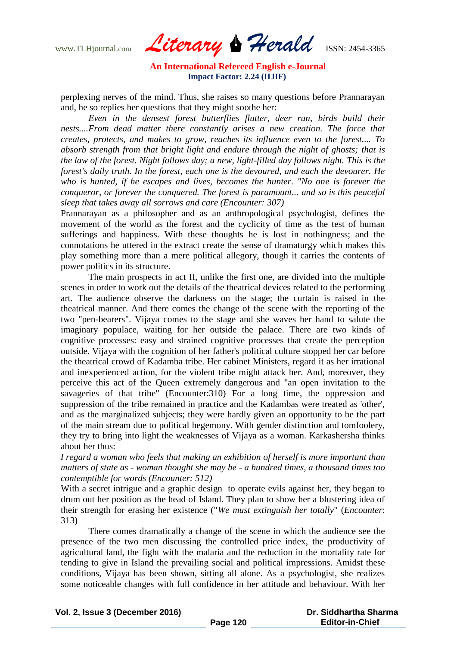www.TLHjournal.com *Literary Herald*ISSN: 2454-3365

perplexing nerves of the mind. Thus, she raises so many questions before Prannarayan and, he so replies her questions that they might soothe her:

*Even in the densest forest butterflies flutter, deer run, birds build their nests....From dead matter there constantly arises a new creation. The force that creates, protects, and makes to grow, reaches its influence even to the forest.... To absorb strength from that bright light and endure through the night of ghosts; that is the law of the forest. Night follows day; a new, light-filled day follows night. This is the forest's daily truth. In the forest, each one is the devoured, and each the devourer. He who is hunted, if he escapes and lives, becomes the hunter. "No one is forever the conqueror, or forever the conquered. The forest is paramount... and so is this peaceful sleep that takes away all sorrows and care (Encounter: 307)*

Prannarayan as a philosopher and as an anthropological psychologist, defines the movement of the world as the forest and the cyclicity of time as the test of human sufferings and happiness. With these thoughts he is lost in nothingness; and the connotations he uttered in the extract create the sense of dramaturgy which makes this play something more than a mere political allegory, though it carries the contents of power politics in its structure.

The main prospects in act II, unlike the first one, are divided into the multiple scenes in order to work out the details of the theatrical devices related to the performing art. The audience observe the darkness on the stage; the curtain is raised in the theatrical manner. And there comes the change of the scene with the reporting of the two "pen-bearers". Vijaya comes to the stage and she waves her hand to salute the imaginary populace, waiting for her outside the palace. There are two kinds of cognitive processes: easy and strained cognitive processes that create the perception outside. Vijaya with the cognition of her father's political culture stopped her car before the theatrical crowd of Kadamba tribe. Her cabinet Ministers, regard it as her irrational and inexperienced action, for the violent tribe might attack her. And, moreover, they perceive this act of the Queen extremely dangerous and "an open invitation to the savageries of that tribe" (Encounter:310) For a long time, the oppression and suppression of the tribe remained in practice and the Kadambas were treated as 'other', and as the marginalized subjects; they were hardly given an opportunity to be the part of the main stream due to political hegemony. With gender distinction and tomfoolery, they try to bring into light the weaknesses of Vijaya as a woman. Karkashersha thinks about her thus:

*I regard a woman who feels that making an exhibition of herself is more important than matters of state as - woman thought she may be - a hundred times, a thousand times too contemptible for words (Encounter: 512)*

With a secret intrigue and a graphic design to operate evils against her, they began to drum out her position as the head of Island. They plan to show her a blustering idea of their strength for erasing her existence ("*We must extinguish her totally*" (*Encounter*: 313)

There comes dramatically a change of the scene in which the audience see the presence of the two men discussing the controlled price index, the productivity of agricultural land, the fight with the malaria and the reduction in the mortality rate for tending to give in Island the prevailing social and political impressions. Amidst these conditions, Vijaya has been shown, sitting all alone. As a psychologist, she realizes some noticeable changes with full confidence in her attitude and behaviour. With her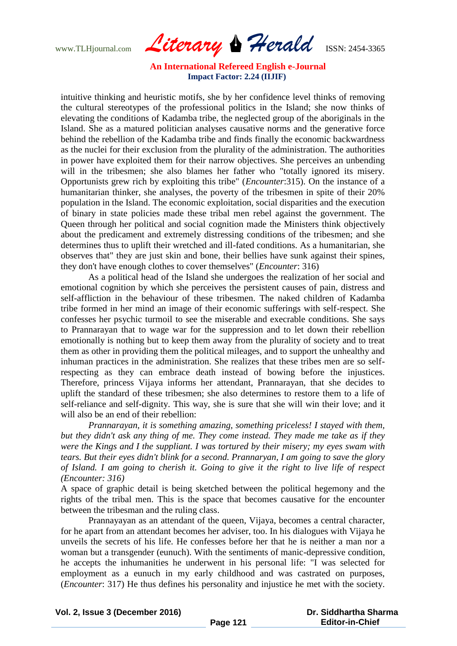www.TLHjournal.com *Literary Herald*ISSN: 2454-3365

intuitive thinking and heuristic motifs, she by her confidence level thinks of removing the cultural stereotypes of the professional politics in the Island; she now thinks of elevating the conditions of Kadamba tribe, the neglected group of the aboriginals in the Island. She as a matured politician analyses causative norms and the generative force behind the rebellion of the Kadamba tribe and finds finally the economic backwardness as the nuclei for their exclusion from the plurality of the administration. The authorities in power have exploited them for their narrow objectives. She perceives an unbending will in the tribesmen; she also blames her father who "totally ignored its misery. Opportunists grew rich by exploiting this tribe" (*Encounter*:315). On the instance of a humanitarian thinker, she analyses, the poverty of the tribesmen in spite of their 20% population in the Island. The economic exploitation, social disparities and the execution of binary in state policies made these tribal men rebel against the government. The Queen through her political and social cognition made the Ministers think objectively about the predicament and extremely distressing conditions of the tribesmen; and she determines thus to uplift their wretched and ill-fated conditions. As a humanitarian, she observes that" they are just skin and bone, their bellies have sunk against their spines, they don't have enough clothes to cover themselves" (*Encounter*: 316)

As a political head of the Island she undergoes the realization of her social and emotional cognition by which she perceives the persistent causes of pain, distress and self-affliction in the behaviour of these tribesmen. The naked children of Kadamba tribe formed in her mind an image of their economic sufferings with self-respect. She confesses her psychic turmoil to see the miserable and execrable conditions. She says to Prannarayan that to wage war for the suppression and to let down their rebellion emotionally is nothing but to keep them away from the plurality of society and to treat them as other in providing them the political mileages, and to support the unhealthy and inhuman practices in the administration. She realizes that these tribes men are so selfrespecting as they can embrace death instead of bowing before the injustices. Therefore, princess Vijaya informs her attendant, Prannarayan, that she decides to uplift the standard of these tribesmen; she also determines to restore them to a life of self-reliance and self-dignity. This way, she is sure that she will win their love; and it will also be an end of their rebellion:

*Prannarayan, it is something amazing, something priceless! I stayed with them, but they didn't ask any thing of me. They come instead. They made me take as if they were the Kings and I the suppliant. I was tortured by their misery; my eyes swam with tears. But their eyes didn't blink for a second. Prannaryan, I am going to save the glory of Island. I am going to cherish it. Going to give it the right to live life of respect (Encounter: 316)*

A space of graphic detail is being sketched between the political hegemony and the rights of the tribal men. This is the space that becomes causative for the encounter between the tribesman and the ruling class.

Prannayayan as an attendant of the queen, Vijaya, becomes a central character, for he apart from an attendant becomes her adviser, too. In his dialogues with Vijaya he unveils the secrets of his life. He confesses before her that he is neither a man nor a woman but a transgender (eunuch). With the sentiments of manic-depressive condition, he accepts the inhumanities he underwent in his personal life: "I was selected for employment as a eunuch in my early childhood and was castrated on purposes, (*Encounter*: 317) He thus defines his personality and injustice he met with the society.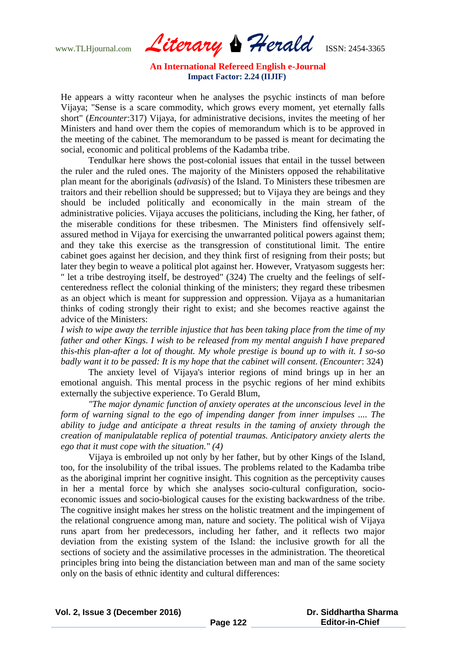www.TLHjournal.com *Literary Herald*ISSN: 2454-3365

He appears a witty raconteur when he analyses the psychic instincts of man before Vijaya; "Sense is a scare commodity, which grows every moment, yet eternally falls short" (*Encounter*:317) Vijaya, for administrative decisions, invites the meeting of her Ministers and hand over them the copies of memorandum which is to be approved in the meeting of the cabinet. The memorandum to be passed is meant for decimating the social, economic and political problems of the Kadamba tribe.

Tendulkar here shows the post-colonial issues that entail in the tussel between the ruler and the ruled ones. The majority of the Ministers opposed the rehabilitative plan meant for the aboriginals (*adivasis*) of the Island. To Ministers these tribesmen are traitors and their rebellion should be suppressed; but to Vijaya they are beings and they should be included politically and economically in the main stream of the administrative policies. Vijaya accuses the politicians, including the King, her father, of the miserable conditions for these tribesmen. The Ministers find offensively selfassured method in Vijaya for exercising the unwarranted political powers against them; and they take this exercise as the transgression of constitutional limit. The entire cabinet goes against her decision, and they think first of resigning from their posts; but later they begin to weave a political plot against her. However, Vratyasom suggests her: " let a tribe destroying itself, be destroyed" (324) The cruelty and the feelings of selfcenteredness reflect the colonial thinking of the ministers; they regard these tribesmen as an object which is meant for suppression and oppression. Vijaya as a humanitarian thinks of coding strongly their right to exist; and she becomes reactive against the advice of the Ministers:

*I wish to wipe away the terrible injustice that has been taking place from the time of my father and other Kings. I wish to be released from my mental anguish I have prepared this-this plan-after a lot of thought. My whole prestige is bound up to with it. I so-so badly want it to be passed: It is my hope that the cabinet will consent. (Encounter*: 324)

The anxiety level of Vijaya's interior regions of mind brings up in her an emotional anguish. This mental process in the psychic regions of her mind exhibits externally the subjective experience. To Gerald Blum,

*"The major dynamic function of anxiety operates at the unconscious level in the form of warning signal to the ego of impending danger from inner impulses .... The ability to judge and anticipate a threat results in the taming of anxiety through the creation of manipulatable replica of potential traumas. Anticipatory anxiety alerts the ego that it must cope with the situation." (4)*

Vijaya is embroiled up not only by her father, but by other Kings of the Island, too, for the insolubility of the tribal issues. The problems related to the Kadamba tribe as the aboriginal imprint her cognitive insight. This cognition as the perceptivity causes in her a mental force by which she analyses socio-cultural configuration, socioeconomic issues and socio-biological causes for the existing backwardness of the tribe. The cognitive insight makes her stress on the holistic treatment and the impingement of the relational congruence among man, nature and society. The political wish of Vijaya runs apart from her predecessors, including her father, and it reflects two major deviation from the existing system of the Island: the inclusive growth for all the sections of society and the assimilative processes in the administration. The theoretical principles bring into being the distanciation between man and man of the same society only on the basis of ethnic identity and cultural differences: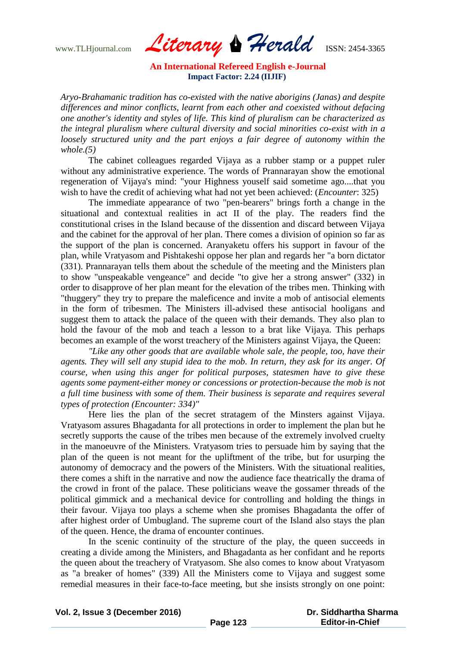www.TLHjournal.com *Literary Herald*ISSN: 2454-3365

*Aryo-Brahamanic tradition has co-existed with the native aborigins (Janas) and despite differences and minor conflicts, learnt from each other and coexisted without defacing one another's identity and styles of life. This kind of pluralism can be characterized as the integral pluralism where cultural diversity and social minorities co-exist with in a loosely structured unity and the part enjoys a fair degree of autonomy within the whole.(5)*

The cabinet colleagues regarded Vijaya as a rubber stamp or a puppet ruler without any administrative experience. The words of Prannarayan show the emotional regeneration of Vijaya's mind: "your Highness youself said sometime ago....that you wish to have the credit of achieving what had not yet been achieved: (*Encounter*: 325)

The immediate appearance of two "pen-bearers" brings forth a change in the situational and contextual realities in act II of the play. The readers find the constitutional crises in the Island because of the dissention and discard between Vijaya and the cabinet for the approval of her plan. There comes a division of opinion so far as the support of the plan is concerned. Aranyaketu offers his support in favour of the plan, while Vratyasom and Pishtakeshi oppose her plan and regards her "a born dictator (331). Prannarayan tells them about the schedule of the meeting and the Ministers plan to show "unspeakable vengeance" and decide "to give her a strong answer" (332) in order to disapprove of her plan meant for the elevation of the tribes men. Thinking with "thuggery" they try to prepare the maleficence and invite a mob of antisocial elements in the form of tribesmen. The Ministers ill-advised these antisocial hooligans and suggest them to attack the palace of the queen with their demands. They also plan to hold the favour of the mob and teach a lesson to a brat like Vijaya. This perhaps becomes an example of the worst treachery of the Ministers against Vijaya, the Queen:

*"Like any other goods that are available whole sale, the people, too, have their agents. They will sell any stupid idea to the mob. In return, they ask for its anger. Of course, when using this anger for political purposes, statesmen have to give these agents some payment-either money or concessions or protection-because the mob is not a full time business with some of them. Their business is separate and requires several types of protection (Encounter: 334)"*

Here lies the plan of the secret stratagem of the Minsters against Vijaya. Vratyasom assures Bhagadanta for all protections in order to implement the plan but he secretly supports the cause of the tribes men because of the extremely involved cruelty in the manoeuvre of the Ministers. Vratyasom tries to persuade him by saying that the plan of the queen is not meant for the upliftment of the tribe, but for usurping the autonomy of democracy and the powers of the Ministers. With the situational realities, there comes a shift in the narrative and now the audience face theatrically the drama of the crowd in front of the palace. These politicians weave the gossamer threads of the political gimmick and a mechanical device for controlling and holding the things in their favour. Vijaya too plays a scheme when she promises Bhagadanta the offer of after highest order of Umbugland. The supreme court of the Island also stays the plan of the queen. Hence, the drama of encounter continues.

In the scenic continuity of the structure of the play, the queen succeeds in creating a divide among the Ministers, and Bhagadanta as her confidant and he reports the queen about the treachery of Vratyasom. She also comes to know about Vratyasom as "a breaker of homes" (339) All the Ministers come to Vijaya and suggest some remedial measures in their face-to-face meeting, but she insists strongly on one point: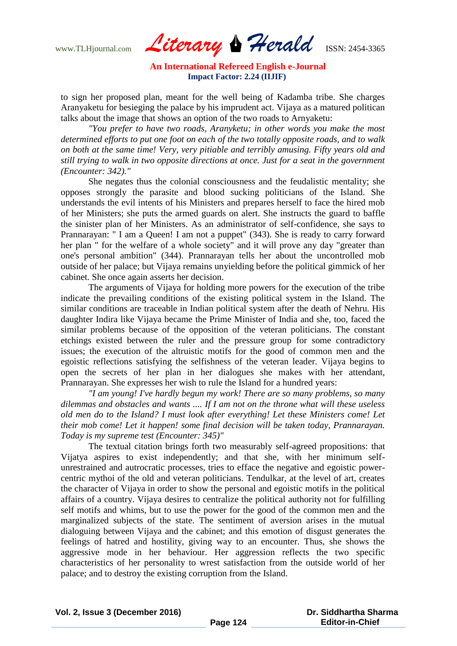www.TLHjournal.com *Literary Herald*ISSN: 2454-3365

to sign her proposed plan, meant for the well being of Kadamba tribe. She charges Aranyaketu for besieging the palace by his imprudent act. Vijaya as a matured politican talks about the image that shows an option of the two roads to Arnyaketu:

*"You prefer to have two roads, Aranyketu; in other words you make the most determined efforts to put one foot on each of the two totally opposite roads, and to walk on both at the same time! Very, very pitiable and terribly amusing. Fifty years old and still trying to walk in two opposite directions at once. Just for a seat in the government (Encounter: 342)."*

She negates thus the colonial consciousness and the feudalistic mentality; she opposes strongly the parasite and blood sucking politicians of the Island. She understands the evil intents of his Ministers and prepares herself to face the hired mob of her Ministers; she puts the armed guards on alert. She instructs the guard to baffle the sinister plan of her Ministers. As an administrator of self-confidence, she says to Prannarayan: " I am a Queen! I am not a puppet" (343). She is ready to carry forward her plan " for the welfare of a whole society" and it will prove any day "greater than one's personal ambition" (344). Prannarayan tells her about the uncontrolled mob outside of her palace; but Vijaya remains unyielding before the political gimmick of her cabinet. She once again asserts her decision.

The arguments of Vijaya for holding more powers for the execution of the tribe indicate the prevailing conditions of the existing political system in the Island. The similar conditions are traceable in Indian political system after the death of Nehru. His daughter Indira like Vijaya became the Prime Minister of India and she, too, faced the similar problems because of the opposition of the veteran politicians. The constant etchings existed between the ruler and the pressure group for some contradictory issues; the execution of the altruistic motifs for the good of common men and the egoistic reflections satisfying the selfishness of the veteran leader. Vijaya begins to open the secrets of her plan in her dialogues she makes with her attendant, Prannarayan. She expresses her wish to rule the Island for a hundred years:

*"I am young! I've hardly begun my work! There are so many problems, so many dilemmas and obstacles and wants .... If I am not on the throne what will these useless old men do to the Island? I must look after everything! Let these Ministers come! Let their mob come! Let it happen! some final decision will be taken today, Prannarayan. Today is my supreme test (Encounter: 345)"*

The textual citation brings forth two measurably self-agreed propositions: that Vijatya aspires to exist independently; and that she, with her minimum selfunrestrained and autrocratic processes, tries to efface the negative and egoistic powercentric mythoi of the old and veteran politicians. Tendulkar, at the level of art, creates the character of Vijaya in order to show the personal and egoistic motifs in the political affairs of a country. Vijaya desires to centralize the political authority not for fulfilling self motifs and whims, but to use the power for the good of the common men and the marginalized subjects of the state. The sentiment of aversion arises in the mutual dialoguing between Vijaya and the cabinet; and this emotion of disgust generates the feelings of hatred and hostility, giving way to an encounter. Thus, she shows the aggressive mode in her behaviour. Her aggression reflects the two specific characteristics of her personality to wrest satisfaction from the outside world of her palace; and to destroy the existing corruption from the Island.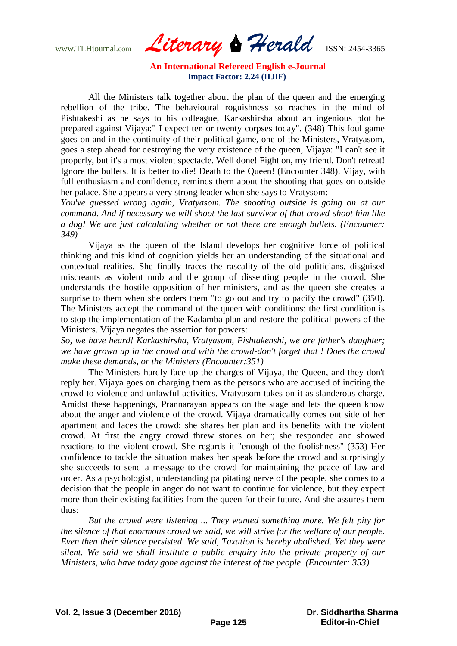www.TLHjournal.com *Literary Herald*ISSN: 2454-3365

All the Ministers talk together about the plan of the queen and the emerging rebellion of the tribe. The behavioural roguishness so reaches in the mind of Pishtakeshi as he says to his colleague, Karkashirsha about an ingenious plot he prepared against Vijaya:" I expect ten or twenty corpses today". (348) This foul game goes on and in the continuity of their political game, one of the Ministers, Vratyasom, goes a step ahead for destroying the very existence of the queen, Vijaya: "I can't see it properly, but it's a most violent spectacle. Well done! Fight on, my friend. Don't retreat! Ignore the bullets. It is better to die! Death to the Queen! (Encounter 348). Vijay, with full enthusiasm and confidence, reminds them about the shooting that goes on outside her palace. She appears a very strong leader when she says to Vratysom:

*You've guessed wrong again, Vratyasom. The shooting outside is going on at our command. And if necessary we will shoot the last survivor of that crowd-shoot him like a dog! We are just calculating whether or not there are enough bullets. (Encounter: 349)*

Vijaya as the queen of the Island develops her cognitive force of political thinking and this kind of cognition yields her an understanding of the situational and contextual realities. She finally traces the rascality of the old politicians, disguised miscreants as violent mob and the group of dissenting people in the crowd. She understands the hostile opposition of her ministers, and as the queen she creates a surprise to them when she orders them "to go out and try to pacify the crowd" (350). The Ministers accept the command of the queen with conditions: the first condition is to stop the implementation of the Kadamba plan and restore the political powers of the Ministers. Vijaya negates the assertion for powers:

*So, we have heard! Karkashirsha, Vratyasom, Pishtakenshi, we are father's daughter; we have grown up in the crowd and with the crowd-don't forget that ! Does the crowd make these demands, or the Ministers (Encounter:351)*

The Ministers hardly face up the charges of Vijaya, the Queen, and they don't reply her. Vijaya goes on charging them as the persons who are accused of inciting the crowd to violence and unlawful activities. Vratyasom takes on it as slanderous charge. Amidst these happenings, Prannarayan appears on the stage and lets the queen know about the anger and violence of the crowd. Vijaya dramatically comes out side of her apartment and faces the crowd; she shares her plan and its benefits with the violent crowd. At first the angry crowd threw stones on her; she responded and showed reactions to the violent crowd. She regards it "enough of the foolishness" (353) Her confidence to tackle the situation makes her speak before the crowd and surprisingly she succeeds to send a message to the crowd for maintaining the peace of law and order. As a psychologist, understanding palpitating nerve of the people, she comes to a decision that the people in anger do not want to continue for violence, but they expect more than their existing facilities from the queen for their future. And she assures them thus:

*But the crowd were listening ... They wanted something more. We felt pity for the silence of that enormous crowd we said, we will strive for the welfare of our people. Even then their silence persisted. We said, Taxation is hereby abolished. Yet they were silent. We said we shall institute a public enquiry into the private property of our Ministers, who have today gone against the interest of the people. (Encounter: 353)*